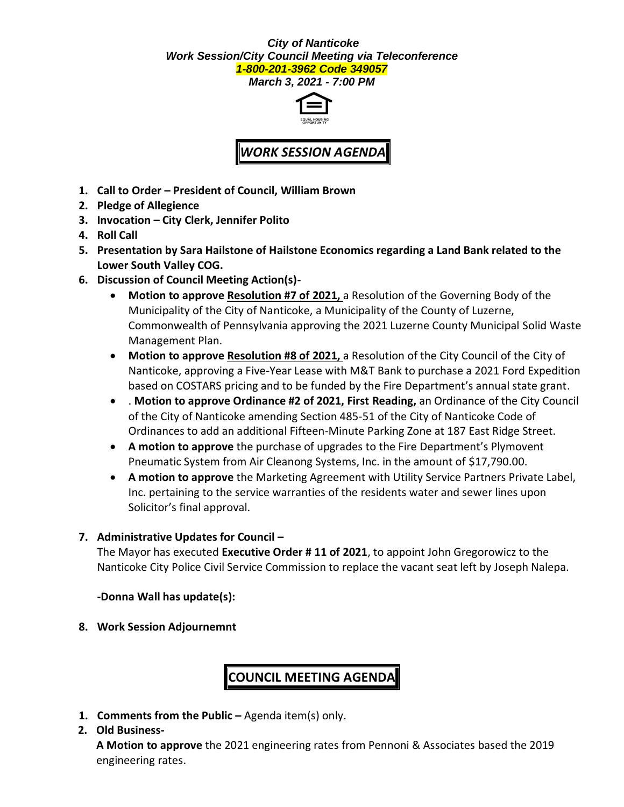### *City of Nanticoke Work Session/City Council Meeting via Teleconference 1-800-201-3962 Code 349057*

*March 3, 2021 - 7:00 PM*



# *WORK SESSION AGENDA*

- **1. Call to Order – President of Council, William Brown**
- **2. Pledge of Allegience**
- **3. Invocation – City Clerk, Jennifer Polito**
- **4. Roll Call**
- **5. Presentation by Sara Hailstone of Hailstone Economics regarding a Land Bank related to the Lower South Valley COG.**
- **6. Discussion of Council Meeting Action(s)-**
	- **Motion to approve Resolution #7 of 2021,** a Resolution of the Governing Body of the Municipality of the City of Nanticoke, a Municipality of the County of Luzerne, Commonwealth of Pennsylvania approving the 2021 Luzerne County Municipal Solid Waste Management Plan.
	- **Motion to approve Resolution #8 of 2021,** a Resolution of the City Council of the City of Nanticoke, approving a Five-Year Lease with M&T Bank to purchase a 2021 Ford Expedition based on COSTARS pricing and to be funded by the Fire Department's annual state grant.
	- . **Motion to approve Ordinance #2 of 2021, First Reading,** an Ordinance of the City Council of the City of Nanticoke amending Section 485-51 of the City of Nanticoke Code of Ordinances to add an additional Fifteen-Minute Parking Zone at 187 East Ridge Street.
	- **A motion to approve** the purchase of upgrades to the Fire Department's Plymovent Pneumatic System from Air Cleanong Systems, Inc. in the amount of \$17,790.00.
	- **A motion to approve** the Marketing Agreement with Utility Service Partners Private Label, Inc. pertaining to the service warranties of the residents water and sewer lines upon Solicitor's final approval.

### **7. Administrative Updates for Council –**

The Mayor has executed **Executive Order # 11 of 2021**, to appoint John Gregorowicz to the Nanticoke City Police Civil Service Commission to replace the vacant seat left by Joseph Nalepa.

### **-Donna Wall has update(s):**

**8. Work Session Adjournemnt**

# **COUNCIL MEETING AGENDA**

**1. Comments from the Public –** Agenda item(s) only.

### **2. Old Business-**

**A Motion to approve** the 2021 engineering rates from Pennoni & Associates based the 2019 engineering rates.